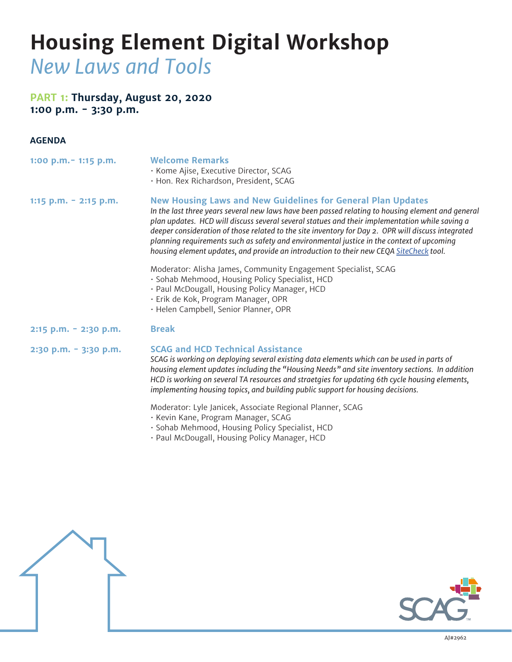# **Housing Element Digital Workshop** *New Laws and Tools*

## **PART 1: Thursday, August 20, 2020 1:00 p.m. - 3:30 p.m.**

#### **AGENDA**

| $1:00$ p.m. $-1:15$ p.m. | <b>Welcome Remarks</b><br>· Kome Ajise, Executive Director, SCAG<br>· Hon. Rex Richardson, President, SCAG                                                                                                                                                                                                                                                                                                                                                                                                                                                              |
|--------------------------|-------------------------------------------------------------------------------------------------------------------------------------------------------------------------------------------------------------------------------------------------------------------------------------------------------------------------------------------------------------------------------------------------------------------------------------------------------------------------------------------------------------------------------------------------------------------------|
| 1:15 p.m. $-$ 2:15 p.m.  | <b>New Housing Laws and New Guidelines for General Plan Updates</b><br>In the last three years several new laws have been passed relating to housing element and general<br>plan updates. HCD will discuss several several statues and their implementation while saving a<br>deeper consideration of those related to the site inventory for Day 2. OPR will discuss integrated<br>planning requirements such as safety and environmental justice in the context of upcoming<br>housing element updates, and provide an introduction to their new CEQA SiteCheck tool. |
|                          | Moderator: Alisha James, Community Engagement Specialist, SCAG<br>· Sohab Mehmood, Housing Policy Specialist, HCD<br>· Paul McDougall, Housing Policy Manager, HCD<br>· Erik de Kok, Program Manager, OPR<br>· Helen Campbell, Senior Planner, OPR                                                                                                                                                                                                                                                                                                                      |
| 2:15 p.m. - 2:30 p.m.    | <b>Break</b>                                                                                                                                                                                                                                                                                                                                                                                                                                                                                                                                                            |
| 2:30 p.m. - 3:30 p.m.    | <b>SCAG and HCD Technical Assistance</b><br>SCAG is working on deploying several existing data elements which can be used in parts of<br>housing element updates including the "Housing Needs" and site inventory sections. In addition<br>HCD is working on several TA resources and straetgies for updating 6th cycle housing elements,<br>implementing housing topics, and building public support for housing decisions.                                                                                                                                            |
|                          | Moderator: Lyle Janicek, Associate Regional Planner, SCAG<br>· Kevin Kane, Program Manager, SCAG<br>· Sohab Mehmood, Housing Policy Specialist, HCD<br>· Paul McDougall, Housing Policy Manager, HCD                                                                                                                                                                                                                                                                                                                                                                    |